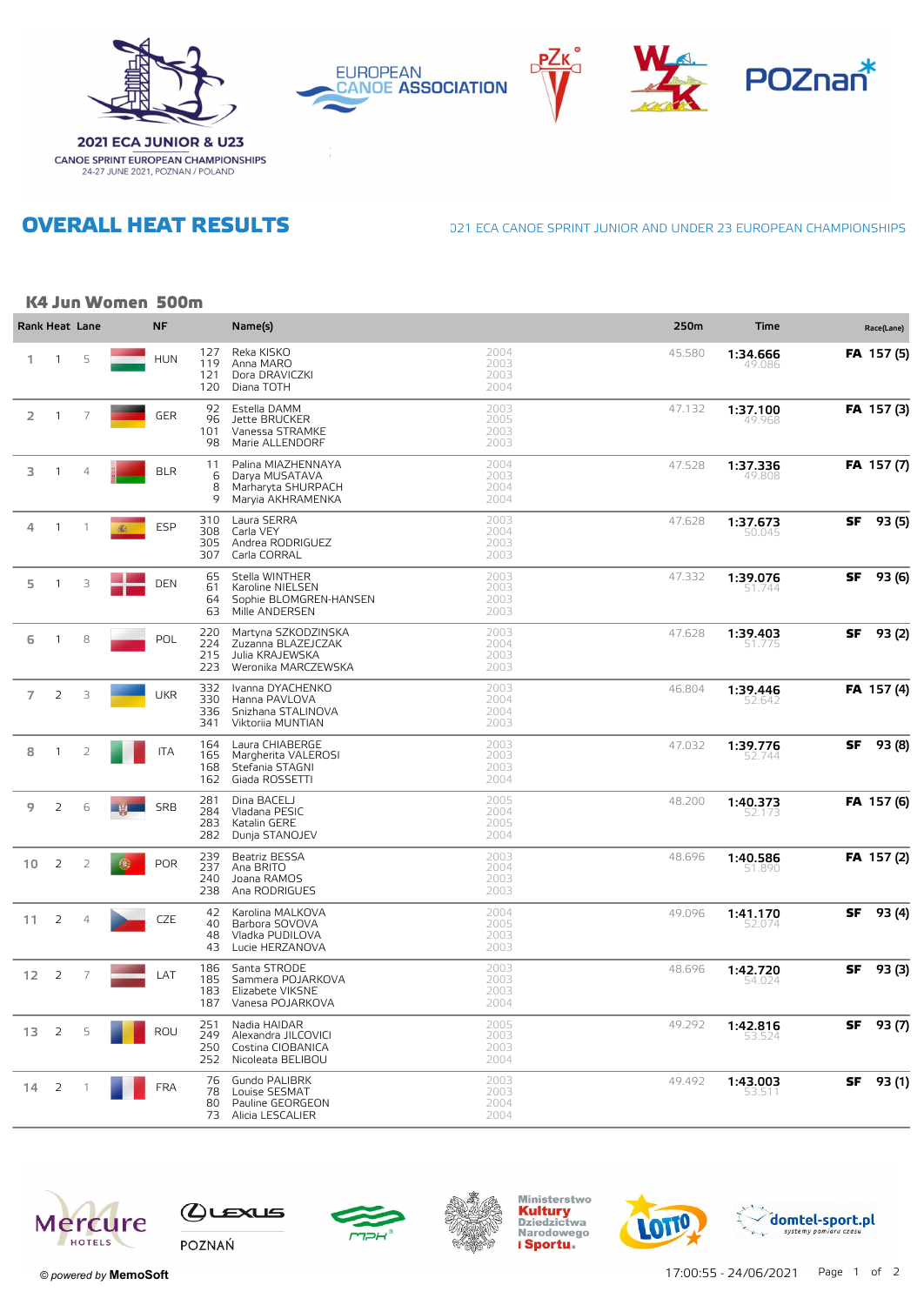









**OVERALL HEAT RESULTS** 

**CANOE SPRINT EUROPEAN CHAMPIONSHIPS**<br>24-27 JUNE 2021, POZNAN / POLAND

021 ECA CANOE SPRINT JUNIOR AND UNDER 23 EUROPEAN CHAMPIONSHIPS

## K4 Jun Women 500m

| Rank Heat Lane |                |                |   | <b>NF</b>  |                          | Name(s)                                                                             |                              | 250m   | <b>Time</b>        |    | Race(Lane)        |
|----------------|----------------|----------------|---|------------|--------------------------|-------------------------------------------------------------------------------------|------------------------------|--------|--------------------|----|-------------------|
| 1.             | $\mathbf{1}$   | 5              |   | <b>HUN</b> | 127<br>119<br>121<br>120 | Reka KISKO<br>Anna MARO<br>Dora DRAVICZKI<br>Diana TOTH                             | 2004<br>2003<br>2003<br>2004 | 45.580 | 1:34.666<br>49.086 |    | <b>FA</b> 157 (5) |
| $\overline{2}$ | $\mathbf{1}$   | $\overline{7}$ |   | <b>GER</b> | 92<br>96<br>101<br>98    | Estella DAMM<br>Jette BRUCKER<br>Vanessa STRAMKE<br>Marie ALLENDORF                 | 2003<br>2005<br>2003<br>2003 | 47.132 | 1:37.100<br>49.968 |    | FA 157(3)         |
| 3              | 1              | $\overline{4}$ |   | <b>BLR</b> | 11<br>6<br>8<br>9        | Palina MIAZHENNAYA<br>Darya MUSATAVA<br>Marharyta SHURPACH<br>Maryia AKHRAMENKA     | 2004<br>2003<br>2004<br>2004 | 47.528 | 1:37.336<br>49.808 |    | FA 157 (7)        |
| 4              | $\overline{1}$ | $\overline{1}$ | 癫 | <b>ESP</b> | 310<br>308<br>305<br>307 | Laura SERRA<br>Carla VEY<br>Andrea RODRIGUEZ<br>Carla CORRAL                        | 2003<br>2004<br>2003<br>2003 | 47.628 | 1:37.673<br>50.045 | SF | 93 (5)            |
| 5              | 1              | 3              |   | <b>DEN</b> | 65<br>61<br>64<br>63     | Stella WINTHER<br>Karoline NIELSEN<br>Sophie BLOMGREN-HANSEN<br>Mille ANDERSEN      | 2003<br>2003<br>2003<br>2003 | 47.332 | 1:39.076<br>51.744 | SF | 93 (6)            |
| 6              | $\mathbf{1}$   | 8              |   | POL        | 220<br>224<br>215<br>223 | Martyna SZKODZINSKA<br>Zuzanna BLAZEJCZAK<br>Julia KRAJEWSKA<br>Weronika MARCZEWSKA | 2003<br>2004<br>2003<br>2003 | 47.628 | 1:39.403<br>51.775 | SF | 93 (2)            |
| $\overline{7}$ | 2              | 3              |   | <b>UKR</b> | 332<br>330<br>336<br>341 | Ivanna DYACHENKO<br>Hanna PAVLOVA<br>Snizhana STALINOVA<br>Viktoriia MUNTIAN        | 2003<br>2004<br>2004<br>2003 | 46.804 | 1:39.446<br>52.642 |    | FA 157 (4)        |
| 8              | 1              | $\overline{2}$ |   | <b>ITA</b> | 164<br>165<br>168<br>162 | Laura CHIABERGE<br>Margherita VALEROSI<br>Stefania STAGNI<br>Giada ROSSETTI         | 2003<br>2003<br>2003<br>2004 | 47.032 | 1:39.776<br>52.74  | SF | 93 (8)            |
| 9              | 2              | 6              |   | <b>SRB</b> | 281<br>284<br>283<br>282 | Dina BACELJ<br>Vladana PESIC<br>Katalin GERE<br>Dunja STANOJEV                      | 2005<br>2004<br>2005<br>2004 | 48.200 | 1:40.373<br>52.173 |    | FA 157 (6)        |
| 10             | 2              | $\overline{2}$ |   | <b>POR</b> | 239<br>237<br>240<br>238 | Beatriz BESSA<br>Ana BRITO<br>Joana RAMOS<br>Ana RODRIGUES                          | 2003<br>2004<br>2003<br>2003 | 48.696 | 1:40.586<br>51.890 |    | <b>FA</b> 157 (2) |
| 11             | 2              | $\overline{4}$ |   | CZE        | 42<br>40<br>48<br>43     | Karolina MALKOVA<br>Barbora SOVOVA<br>Vladka PUDILOVA<br>Lucie HERZANOVA            | 2004<br>2005<br>2003<br>2003 | 49.096 | 1:41.170<br>52.074 | SF | 93 (4)            |
| 12             | 2              | 7              |   | LAT        | 186<br>185<br>183<br>187 | Santa STRODE<br>Sammera POJARKOVA<br>Elizabete VIKSNE<br>Vanesa POJARKOVA           | 2003<br>2003<br>2003<br>2004 | 48.696 | 1:42.720<br>54.024 | SF | 93 (3)            |
| 13             | $\overline{2}$ | 5              |   | <b>ROU</b> | 251<br>249<br>250<br>252 | Nadia HAIDAR<br>Alexandra JILCOVICI<br>Costina CIOBANICA<br>Nicoleata BELIBOU       | 2005<br>2003<br>2003<br>2004 | 49.292 | 1:42.816<br>53.524 | SF | 93 (7)            |
| 14             | 2              |                |   | <b>FRA</b> | 76<br>78<br>80<br>73     | Gundo PALIBRK<br>Louise SESMAT<br>Pauline GEORGEON<br>Alicia LESCALIER              | 2003<br>2003<br>2004<br>2004 | 49.492 | 1:43.003<br>ו כ.ככ | SF | 93 (1)            |









Ministerstwo<br>**Kultury**<br>Dziedzictwa<br>Narodowego i Sportu.